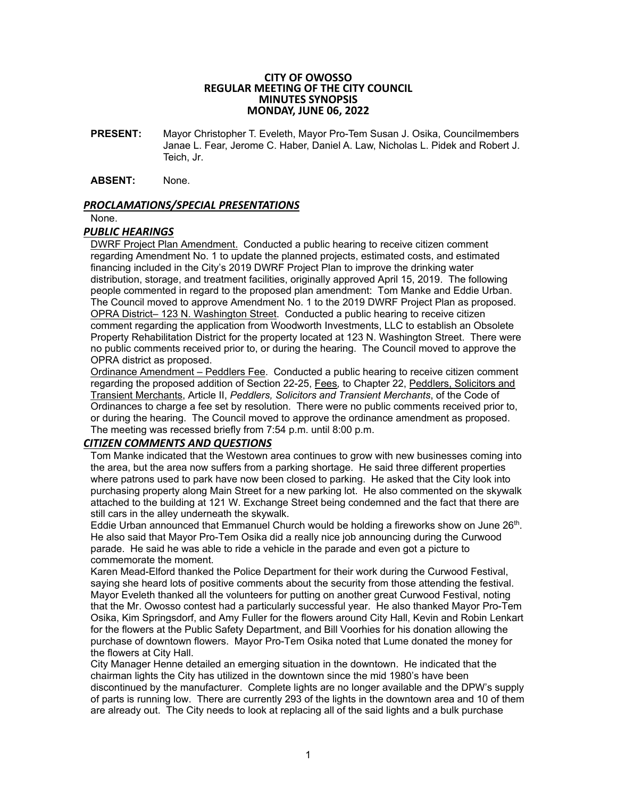#### **CITY OF OWOSSO REGULAR MEETING OF THE CITY COUNCIL MINUTES SYNOPSIS MONDAY, JUNE 06, 2022**

**PRESENT:** Mayor Christopher T. Eveleth, Mayor Pro-Tem Susan J. Osika, Councilmembers Janae L. Fear, Jerome C. Haber, Daniel A. Law, Nicholas L. Pidek and Robert J. Teich, Jr.

#### **ABSENT:** None.

### *PROCLAMATIONS/SPECIAL PRESENTATIONS*

None.

### *PUBLIC HEARINGS*

DWRF Project Plan Amendment. Conducted a public hearing to receive citizen comment regarding Amendment No. 1 to update the planned projects, estimated costs, and estimated financing included in the City's 2019 DWRF Project Plan to improve the drinking water distribution, storage, and treatment facilities, originally approved April 15, 2019. The following people commented in regard to the proposed plan amendment: Tom Manke and Eddie Urban. The Council moved to approve Amendment No. 1 to the 2019 DWRF Project Plan as proposed. OPRA District– 123 N. Washington Street. Conducted a public hearing to receive citizen comment regarding the application from Woodworth Investments, LLC to establish an Obsolete Property Rehabilitation District for the property located at 123 N. Washington Street. There were no public comments received prior to, or during the hearing. The Council moved to approve the OPRA district as proposed.

Ordinance Amendment – Peddlers Fee. Conducted a public hearing to receive citizen comment regarding the proposed addition of Section 22-25, Fees*,* to Chapter 22, Peddlers, Solicitors and Transient Merchants, Article II, *Peddlers, Solicitors and Transient Merchants*, of the Code of Ordinances to charge a fee set by resolution. There were no public comments received prior to, or during the hearing. The Council moved to approve the ordinance amendment as proposed. The meeting was recessed briefly from 7:54 p.m. until 8:00 p.m.

## *CITIZEN COMMENTS AND QUESTIONS*

Tom Manke indicated that the Westown area continues to grow with new businesses coming into the area, but the area now suffers from a parking shortage. He said three different properties where patrons used to park have now been closed to parking. He asked that the City look into purchasing property along Main Street for a new parking lot. He also commented on the skywalk attached to the building at 121 W. Exchange Street being condemned and the fact that there are still cars in the alley underneath the skywalk.

Eddie Urban announced that Emmanuel Church would be holding a fireworks show on June 26<sup>th</sup>. He also said that Mayor Pro-Tem Osika did a really nice job announcing during the Curwood parade. He said he was able to ride a vehicle in the parade and even got a picture to commemorate the moment.

Karen Mead-Elford thanked the Police Department for their work during the Curwood Festival, saying she heard lots of positive comments about the security from those attending the festival. Mayor Eveleth thanked all the volunteers for putting on another great Curwood Festival, noting that the Mr. Owosso contest had a particularly successful year. He also thanked Mayor Pro-Tem Osika, Kim Springsdorf, and Amy Fuller for the flowers around City Hall, Kevin and Robin Lenkart for the flowers at the Public Safety Department, and Bill Voorhies for his donation allowing the purchase of downtown flowers. Mayor Pro-Tem Osika noted that Lume donated the money for the flowers at City Hall.

City Manager Henne detailed an emerging situation in the downtown. He indicated that the chairman lights the City has utilized in the downtown since the mid 1980's have been discontinued by the manufacturer. Complete lights are no longer available and the DPW's supply of parts is running low. There are currently 293 of the lights in the downtown area and 10 of them are already out. The City needs to look at replacing all of the said lights and a bulk purchase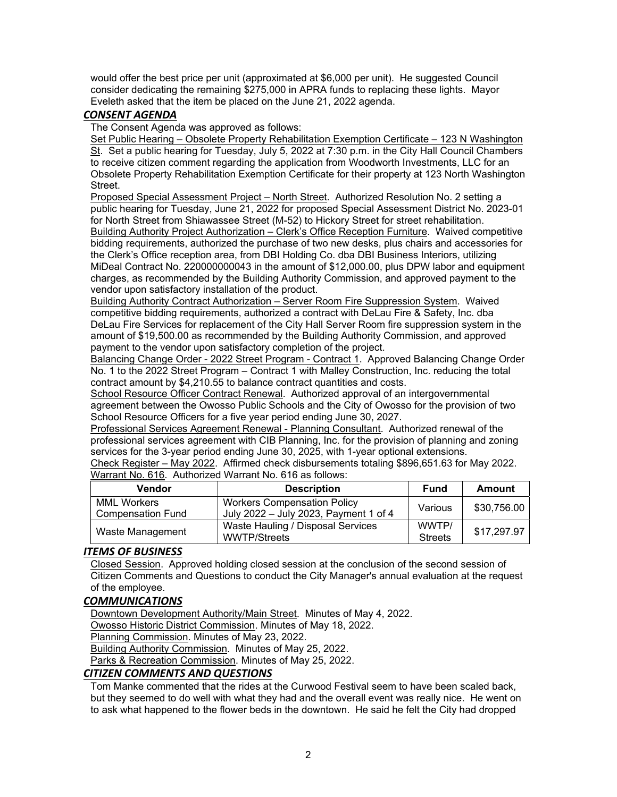would offer the best price per unit (approximated at \$6,000 per unit). He suggested Council consider dedicating the remaining \$275,000 in APRA funds to replacing these lights. Mayor Eveleth asked that the item be placed on the June 21, 2022 agenda.

# *CONSENT AGENDA*

The Consent Agenda was approved as follows:

Set Public Hearing – Obsolete Property Rehabilitation Exemption Certificate – 123 N Washington St. Set a public hearing for Tuesday, July 5, 2022 at 7:30 p.m. in the City Hall Council Chambers to receive citizen comment regarding the application from Woodworth Investments, LLC for an Obsolete Property Rehabilitation Exemption Certificate for their property at 123 North Washington **Street** 

Proposed Special Assessment Project – North Street. Authorized Resolution No. 2 setting a public hearing for Tuesday, June 21, 2022 for proposed Special Assessment District No. 2023-01 for North Street from Shiawassee Street (M-52) to Hickory Street for street rehabilitation. Building Authority Project Authorization – Clerk's Office Reception Furniture. Waived competitive bidding requirements, authorized the purchase of two new desks, plus chairs and accessories for the Clerk's Office reception area, from DBI Holding Co. dba DBI Business Interiors, utilizing MiDeal Contract No. 220000000043 in the amount of \$12,000.00, plus DPW labor and equipment charges, as recommended by the Building Authority Commission, and approved payment to the vendor upon satisfactory installation of the product.

Building Authority Contract Authorization – Server Room Fire Suppression System. Waived competitive bidding requirements, authorized a contract with DeLau Fire & Safety, Inc. dba DeLau Fire Services for replacement of the City Hall Server Room fire suppression system in the amount of \$19,500.00 as recommended by the Building Authority Commission, and approved payment to the vendor upon satisfactory completion of the project.

Balancing Change Order - 2022 Street Program - Contract 1. Approved Balancing Change Order No. 1 to the 2022 Street Program – Contract 1 with Malley Construction, Inc. reducing the total contract amount by \$4,210.55 to balance contract quantities and costs.

School Resource Officer Contract Renewal. Authorized approval of an intergovernmental agreement between the Owosso Public Schools and the City of Owosso for the provision of two School Resource Officers for a five year period ending June 30, 2027.

Professional Services Agreement Renewal - Planning Consultant. Authorized renewal of the professional services agreement with CIB Planning, Inc. for the provision of planning and zoning services for the 3-year period ending June 30, 2025, with 1-year optional extensions.

Check Register – May 2022. Affirmed check disbursements totaling \$896,651.63 for May 2022. Warrant No. 616. Authorized Warrant No. 616 as follows:

| <b>Vendor</b>                                  | <b>Description</b>                                                          | <b>Fund</b>             | Amount      |
|------------------------------------------------|-----------------------------------------------------------------------------|-------------------------|-------------|
| <b>MML Workers</b><br><b>Compensation Fund</b> | <b>Workers Compensation Policy</b><br>July 2022 - July 2023, Payment 1 of 4 | Various                 | \$30,756.00 |
| Waste Management                               | Waste Hauling / Disposal Services<br><b>WWTP/Streets</b>                    | WWTP/<br><b>Streets</b> | \$17,297.97 |

# *ITEMS OF BUSINESS*

Closed Session. Approved holding closed session at the conclusion of the second session of Citizen Comments and Questions to conduct the City Manager's annual evaluation at the request of the employee.

# *COMMUNICATIONS*

Downtown Development Authority/Main Street. Minutes of May 4, 2022.

Owosso Historic District Commission. Minutes of May 18, 2022.

Planning Commission. Minutes of May 23, 2022.

Building Authority Commission. Minutes of May 25, 2022.

Parks & Recreation Commission. Minutes of May 25, 2022.

## *CITIZEN COMMENTS AND QUESTIONS*

Tom Manke commented that the rides at the Curwood Festival seem to have been scaled back, but they seemed to do well with what they had and the overall event was really nice. He went on to ask what happened to the flower beds in the downtown. He said he felt the City had dropped